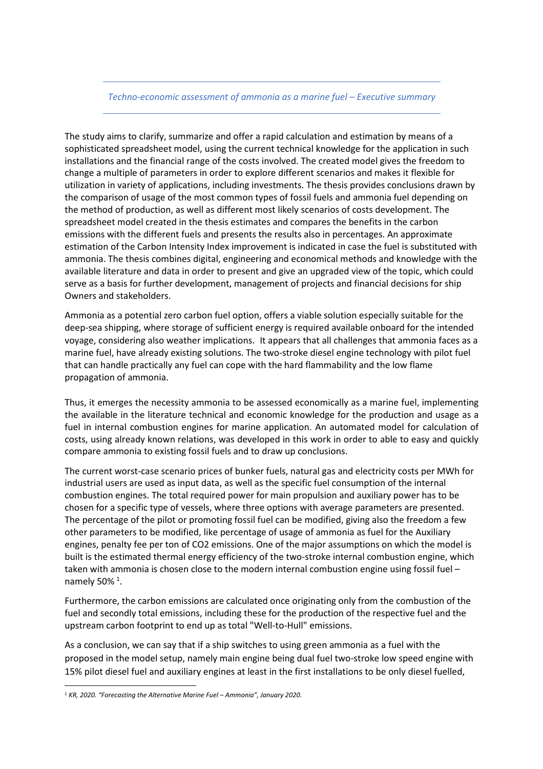## *Techno-economic assessment of ammonia as a marine fuel – Executive summary*

The study aims to clarify, summarize and offer a rapid calculation and estimation by means of a sophisticated spreadsheet model, using the current technical knowledge for the application in such installations and the financial range of the costs involved. The created model gives the freedom to change a multiple of parameters in order to explore different scenarios and makes it flexible for utilization in variety of applications, including investments. The thesis provides conclusions drawn by the comparison of usage of the most common types of fossil fuels and ammonia fuel depending on the method of production, as well as different most likely scenarios of costs development. The spreadsheet model created in the thesis estimates and compares the benefits in the carbon emissions with the different fuels and presents the results also in percentages. An approximate estimation of the Carbon Intensity Index improvement is indicated in case the fuel is substituted with ammonia. The thesis combines digital, engineering and economical methods and knowledge with the available literature and data in order to present and give an upgraded view of the topic, which could serve as a basis for further development, management of projects and financial decisions for ship Owners and stakeholders.

Ammonia as a potential zero carbon fuel option, offers a viable solution especially suitable for the deep-sea shipping, where storage of sufficient energy is required available onboard for the intended voyage, considering also weather implications. It appears that all challenges that ammonia faces as a marine fuel, have already existing solutions. The two-stroke diesel engine technology with pilot fuel that can handle practically any fuel can cope with the hard flammability and the low flame propagation of ammonia.

Thus, it emerges the necessity ammonia to be assessed economically as a marine fuel, implementing the available in the literature technical and economic knowledge for the production and usage as a fuel in internal combustion engines for marine application. An automated model for calculation of costs, using already known relations, was developed in this work in order to able to easy and quickly compare ammonia to existing fossil fuels and to draw up conclusions.

The current worst-case scenario prices of bunker fuels, natural gas and electricity costs per MWh for industrial users are used as input data, as well as the specific fuel consumption of the internal combustion engines. The total required power for main propulsion and auxiliary power has to be chosen for a specific type of vessels, where three options with average parameters are presented. The percentage of the pilot or promoting fossil fuel can be modified, giving also the freedom a few other parameters to be modified, like percentage of usage of ammonia as fuel for the Auxiliary engines, penalty fee per ton of CO2 emissions. One of the major assumptions on which the model is built is the estimated thermal energy efficiency of the two-stroke internal combustion engine, which taken with ammonia is chosen close to the modern internal combustion engine using fossil fuel – namely 50%<sup>1</sup>.

Furthermore, the carbon emissions are calculated once originating only from the combustion of the fuel and secondly total emissions, including these for the production of the respective fuel and the upstream carbon footprint to end up as total "Well-to-Hull" emissions.

As a conclusion, we can say that if a ship switches to using green ammonia as a fuel with the proposed in the model setup, namely main engine being dual fuel two-stroke low speed engine with 15% pilot diesel fuel and auxiliary engines at least in the first installations to be only diesel fuelled,

l

<sup>1</sup> *KR, 2020. "Forecasting the Alternative Marine Fuel – Ammonia", January 2020.*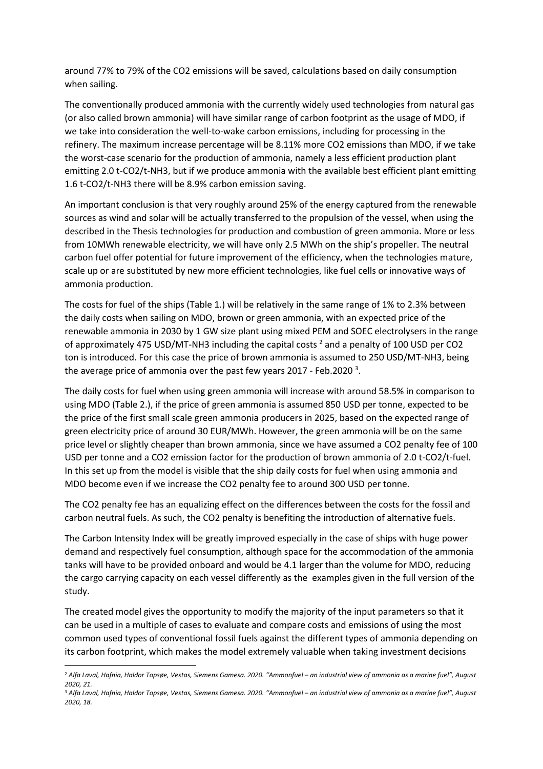around 77% to 79% of the CO2 emissions will be saved, calculations based on daily consumption when sailing.

The conventionally produced ammonia with the currently widely used technologies from natural gas (or also called brown ammonia) will have similar range of carbon footprint as the usage of MDO, if we take into consideration the well-to-wake carbon emissions, including for processing in the refinery. The maximum increase percentage will be 8.11% more CO2 emissions than MDO, if we take the worst-case scenario for the production of ammonia, namely a less efficient production plant emitting 2.0 t-CO2/t-NH3, but if we produce ammonia with the available best efficient plant emitting 1.6 t-CO2/t-NH3 there will be 8.9% carbon emission saving.

An important conclusion is that very roughly around 25% of the energy captured from the renewable sources as wind and solar will be actually transferred to the propulsion of the vessel, when using the described in the Thesis technologies for production and combustion of green ammonia. More or less from 10MWh renewable electricity, we will have only 2.5 MWh on the ship's propeller. The neutral carbon fuel offer potential for future improvement of the efficiency, when the technologies mature, scale up or are substituted by new more efficient technologies, like fuel cells or innovative ways of ammonia production.

The costs for fuel of the ships (Table 1.) will be relatively in the same range of 1% to 2.3% between the daily costs when sailing on MDO, brown or green ammonia, with an expected price of the renewable ammonia in 2030 by 1 GW size plant using mixed PEM and SOEC electrolysers in the range of approximately 475 USD/MT-NH3 including the capital costs  $^2$  and a penalty of 100 USD per CO2 ton is introduced. For this case the price of brown ammonia is assumed to 250 USD/MT-NH3, being the average price of ammonia over the past few years 2017 - Feb.2020<sup>3</sup>.

The daily costs for fuel when using green ammonia will increase with around 58.5% in comparison to using MDO (Table 2.), if the price of green ammonia is assumed 850 USD per tonne, expected to be the price of the first small scale green ammonia producers in 2025, based on the expected range of green electricity price of around 30 EUR/MWh. However, the green ammonia will be on the same price level or slightly cheaper than brown ammonia, since we have assumed a CO2 penalty fee of 100 USD per tonne and a CO2 emission factor for the production of brown ammonia of 2.0 t-CO2/t-fuel. In this set up from the model is visible that the ship daily costs for fuel when using ammonia and MDO become even if we increase the CO2 penalty fee to around 300 USD per tonne.

The CO2 penalty fee has an equalizing effect on the differences between the costs for the fossil and carbon neutral fuels. As such, the CO2 penalty is benefiting the introduction of alternative fuels.

The Carbon Intensity Index will be greatly improved especially in the case of ships with huge power demand and respectively fuel consumption, although space for the accommodation of the ammonia tanks will have to be provided onboard and would be 4.1 larger than the volume for MDO, reducing the cargo carrying capacity on each vessel differently as the examples given in the full version of the study.

The created model gives the opportunity to modify the majority of the input parameters so that it can be used in a multiple of cases to evaluate and compare costs and emissions of using the most common used types of conventional fossil fuels against the different types of ammonia depending on its carbon footprint, which makes the model extremely valuable when taking investment decisions

 $\overline{\phantom{0}}$ 

<sup>2</sup> *Alfa Laval, Hafnia, Haldor Topsøe, Vestas, Siemens Gamesa. 2020. "Ammonfuel – an industrial view of ammonia as a marine fuel", August 2020, 21.* 

<sup>3</sup> *Alfa Laval, Hafnia, Haldor Topsøe, Vestas, Siemens Gamesa. 2020. "Ammonfuel – an industrial view of ammonia as a marine fuel", August 2020, 18.*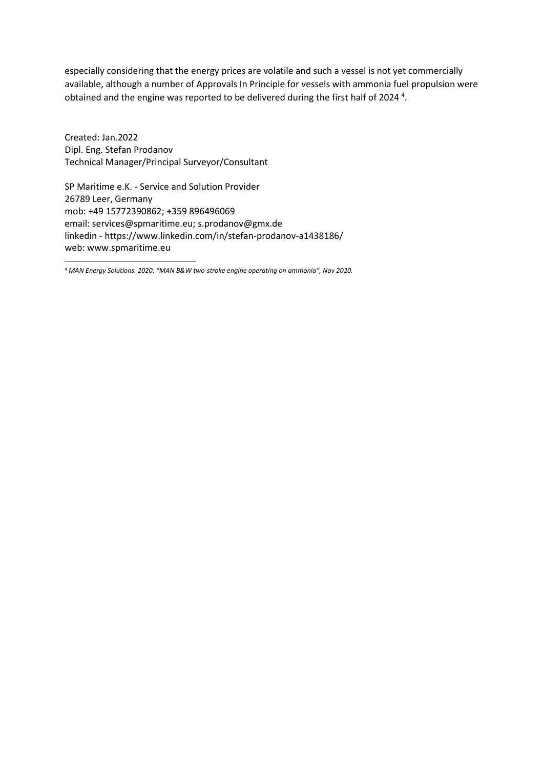especially considering that the energy prices are volatile and such a vessel is not yet commercially available, although a number of Approvals In Principle for vessels with ammonia fuel propulsion were obtained and the engine was reported to be delivered during the first half of 2024<sup>4</sup>.

Created: Jan.2022 Dipl. Eng. Stefan Prodanov Technical Manager/Principal Surveyor/Consultant

l

SP Maritime e.K. - Service and Solution Provider 26789 Leer, Germany mob: +49 15772390862; +359 896496069 email: services@spmaritime.eu; s.prodanov@gmx.de linkedin - https://www.linkedin.com/in/stefan-prodanov-a1438186/ web: www.spmaritime.eu

<sup>4</sup> *MAN Energy Solutions. 2020. "MAN B&W two-stroke engine operating on ammonia", Nov 2020.*